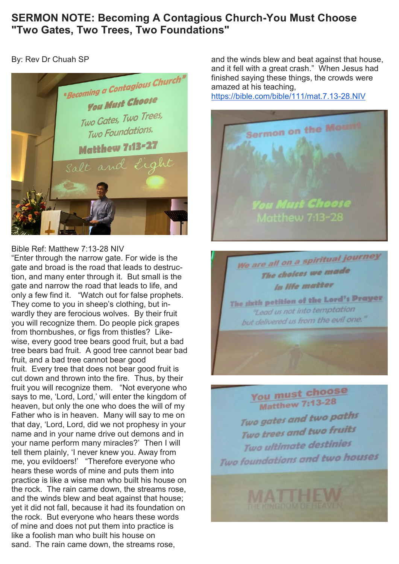#### **SERMON NOTE: Becoming A Contagious Church-You Must Choose "Two Gates, Two Trees, Two Foundations"**

By: Rev Dr Chuah SP



#### Bible Ref: Matthew 7:13-28 NIV

"Enter through the narrow gate. For wide is the gate and broad is the road that leads to destruction, and many enter through it. But small is the gate and narrow the road that leads to life, and only a few find it. "Watch out for false prophets. They come to you in sheep's clothing, but inwardly they are ferocious wolves. By their fruit you will recognize them. Do people pick grapes from thornbushes, or figs from thistles? Likewise, every good tree bears good fruit, but a bad tree bears bad fruit. A good tree cannot bear bad fruit, and a bad tree cannot bear good fruit. Every tree that does not bear good fruit is cut down and thrown into the fire. Thus, by their fruit you will recognize them. "Not everyone who says to me, 'Lord, Lord,' will enter the kingdom of heaven, but only the one who does the will of my Father who is in heaven. Many will say to me on that day, 'Lord, Lord, did we not prophesy in your name and in your name drive out demons and in your name perform many miracles?' Then I will tell them plainly, 'I never knew you. Away from me, you evildoers!' "Therefore everyone who hears these words of mine and puts them into practice is like a wise man who built his house on the rock. The rain came down, the streams rose, and the winds blew and beat against that house; yet it did not fall, because it had its foundation on the rock. But everyone who hears these words of mine and does not put them into practice is like a foolish man who built his house on sand. The rain came down, the streams rose,

and the winds blew and beat against that house, and it fell with a great crash." When Jesus had finished saying these things, the crowds were amazed at his teaching,

<https://bible.com/bible/111/mat.7.13-28.NIV>



We are all on a spiritual journey The choices we made in life matter The sixth petition of the Lord's Prayer "Lead us not into temptation but delivered us from the evil one."

**Matthew 7:13-28** Two gates and two paths Two trees and two fruits Two ultimate destinies Two foundations and two houses

You must choose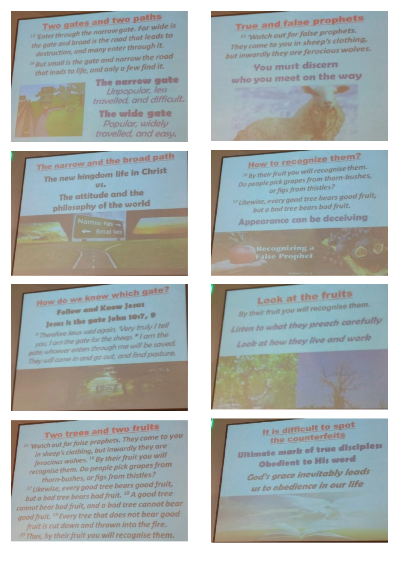Two gates and two paths <sup>13</sup> 'Enter through the narrow gate. For wide is the gate and broad is the road that leads to destruction, and many enter through it. <sup>14</sup> But small is the gate and narrow the road that leads to life, and only a few find it.



The narrow gate Unpopular, less travelled, and difficult.

**The wide gate** Popular, widely travelled, and easy.



### How do we know which gate? **Follow and Know Jesus** Jesus is the gate John 10:7, 9

<sup>#</sup> Therefore Jesus said again, 'Very truly I tell you, I am the gate for the sheep. " I am the gote; whoever enters through me will be saved. They will come in and go out, and find pasture.

## **Two trees and two fruits**

<sup>15</sup> Watch out for false prophets. They come to you in sheep's clothing, but inwardly they are ferocious wolves.<sup>16</sup> By their fruit you will recognise them. Do people pick grapes from thorn-bushes, or figs from thistles? <sup>17</sup> Likewise, every good tree bears good fruit, but a bad tree bears bad fruit. <sup>18</sup> A good tree cannot bear bad fruit, and a bad tree cannot bear good fruit.<sup>19</sup> Every tree that does not bear good fruit is cut down and thrown into the fire. <sup>20</sup> Thus, by their fruit you will recognise them.

## **True and false prophets**

<sup>15</sup> Watch out for false prophets. They come to you in sheep's clothing, but inwardly they are ferocious wolves.

You must discern who you meet on the way

## How to recognize them?

<sup>16</sup> By their fruit you will recognise them. Do people pick grapes from thorn-bushes, or figs from thistles?

<sup>17</sup> Likewise, every good tree bears good fruit, but a bad tree bears bad fruit.

**Appearance can be deceiving** 

**Look at the fruits** By their fruit you will recognise them. Listen to what they preach carefully Look at how they live and work